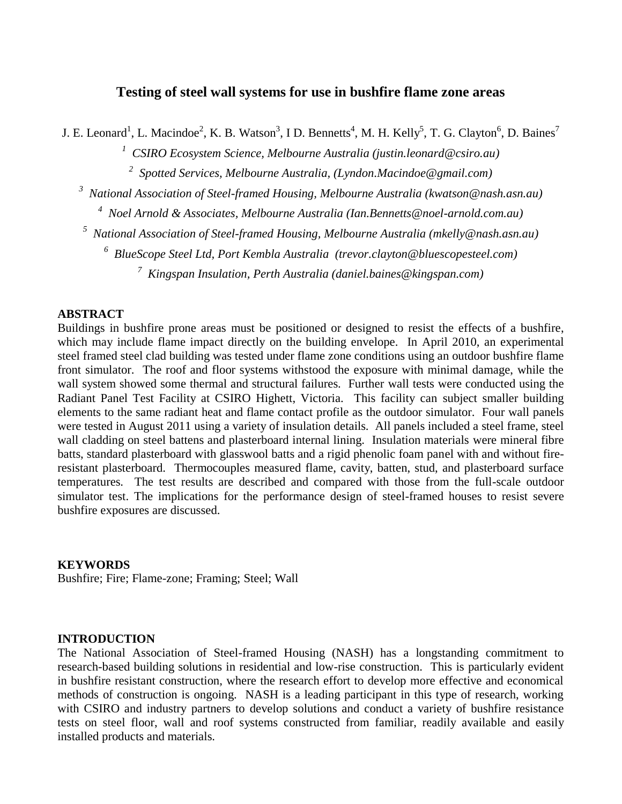# **Testing of steel wall systems for use in bushfire flame zone areas**

J. E. Leonard<sup>1</sup>, L. Macindoe<sup>2</sup>, K. B. Watson<sup>3</sup>, I D. Bennetts<sup>4</sup>, M. H. Kelly<sup>5</sup>, T. G. Clayton<sup>6</sup>, D. Baines<sup>7</sup>

*1 CSIRO Ecosystem Science, Melbourne Australia (justin.leonard@csiro.au)*

*2 Spotted Services, Melbourne Australia, (Lyndon.Macindoe@gmail.com)*

*3 National Association of Steel-framed Housing, Melbourne Australia (kwatson@nash.asn.au)*

*4 Noel Arnold & Associates, Melbourne Australia (Ian.Bennetts@noel-arnold.com.au)*

*5 National Association of Steel-framed Housing, Melbourne Australia (mkelly@nash.asn.au)*

*6 BlueScope Steel Ltd, Port Kembla Australia (trevor.clayton@bluescopesteel.com)*

*7 Kingspan Insulation, Perth Australia (daniel.baines@kingspan.com)*

## **ABSTRACT**

Buildings in bushfire prone areas must be positioned or designed to resist the effects of a bushfire, which may include flame impact directly on the building envelope. In April 2010, an experimental steel framed steel clad building was tested under flame zone conditions using an outdoor bushfire flame front simulator. The roof and floor systems withstood the exposure with minimal damage, while the wall system showed some thermal and structural failures. Further wall tests were conducted using the Radiant Panel Test Facility at CSIRO Highett, Victoria. This facility can subject smaller building elements to the same radiant heat and flame contact profile as the outdoor simulator. Four wall panels were tested in August 2011 using a variety of insulation details. All panels included a steel frame, steel wall cladding on steel battens and plasterboard internal lining. Insulation materials were mineral fibre batts, standard plasterboard with glasswool batts and a rigid phenolic foam panel with and without fireresistant plasterboard. Thermocouples measured flame, cavity, batten, stud, and plasterboard surface temperatures. The test results are described and compared with those from the full-scale outdoor simulator test. The implications for the performance design of steel-framed houses to resist severe bushfire exposures are discussed.

#### **KEYWORDS**

Bushfire; Fire; Flame-zone; Framing; Steel; Wall

#### **INTRODUCTION**

The National Association of Steel-framed Housing (NASH) has a longstanding commitment to research-based building solutions in residential and low-rise construction. This is particularly evident in bushfire resistant construction, where the research effort to develop more effective and economical methods of construction is ongoing. NASH is a leading participant in this type of research, working with CSIRO and industry partners to develop solutions and conduct a variety of bushfire resistance tests on steel floor, wall and roof systems constructed from familiar, readily available and easily installed products and materials.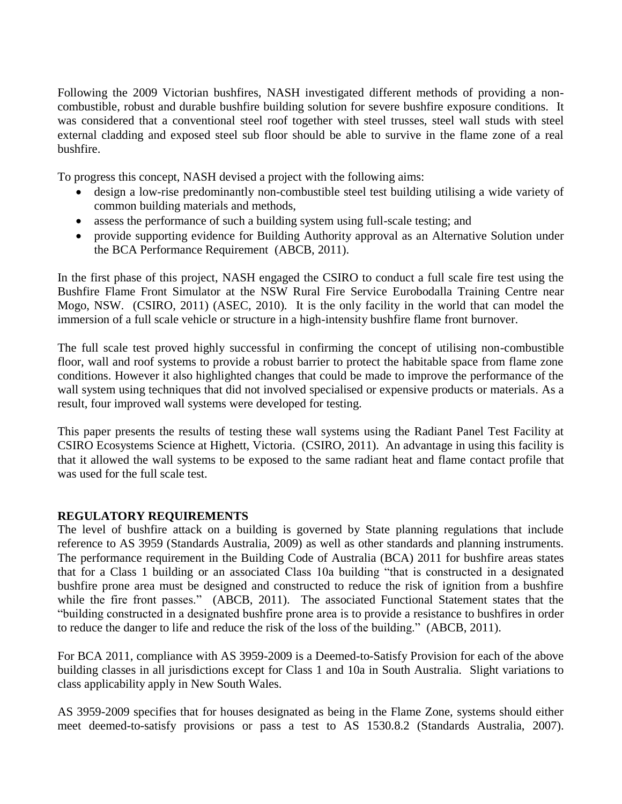Following the 2009 Victorian bushfires, NASH investigated different methods of providing a noncombustible, robust and durable bushfire building solution for severe bushfire exposure conditions. It was considered that a conventional steel roof together with steel trusses, steel wall studs with steel external cladding and exposed steel sub floor should be able to survive in the flame zone of a real bushfire.

To progress this concept, NASH devised a project with the following aims:

- design a low-rise predominantly non-combustible steel test building utilising a wide variety of common building materials and methods,
- assess the performance of such a building system using full-scale testing; and
- provide supporting evidence for Building Authority approval as an Alternative Solution under the BCA Performance Requirement (ABCB, 2011).

In the first phase of this project, NASH engaged the CSIRO to conduct a full scale fire test using the Bushfire Flame Front Simulator at the NSW Rural Fire Service Eurobodalla Training Centre near Mogo, NSW. (CSIRO, 2011) (ASEC, 2010). It is the only facility in the world that can model the immersion of a full scale vehicle or structure in a high-intensity bushfire flame front burnover.

The full scale test proved highly successful in confirming the concept of utilising non-combustible floor, wall and roof systems to provide a robust barrier to protect the habitable space from flame zone conditions. However it also highlighted changes that could be made to improve the performance of the wall system using techniques that did not involved specialised or expensive products or materials. As a result, four improved wall systems were developed for testing.

This paper presents the results of testing these wall systems using the Radiant Panel Test Facility at CSIRO Ecosystems Science at Highett, Victoria. (CSIRO, 2011). An advantage in using this facility is that it allowed the wall systems to be exposed to the same radiant heat and flame contact profile that was used for the full scale test.

# **REGULATORY REQUIREMENTS**

The level of bushfire attack on a building is governed by State planning regulations that include reference to AS 3959 (Standards Australia, 2009) as well as other standards and planning instruments. The performance requirement in the Building Code of Australia (BCA) 2011 for bushfire areas states that for a Class 1 building or an associated Class 10a building "that is constructed in a designated bushfire prone area must be designed and constructed to reduce the risk of ignition from a bushfire while the fire front passes." (ABCB, 2011). The associated Functional Statement states that the "building constructed in a designated bushfire prone area is to provide a resistance to bushfires in order to reduce the danger to life and reduce the risk of the loss of the building." (ABCB, 2011).

For BCA 2011, compliance with AS 3959-2009 is a Deemed-to-Satisfy Provision for each of the above building classes in all jurisdictions except for Class 1 and 10a in South Australia. Slight variations to class applicability apply in New South Wales.

AS 3959-2009 specifies that for houses designated as being in the Flame Zone, systems should either meet deemed-to-satisfy provisions or pass a test to AS 1530.8.2 (Standards Australia, 2007).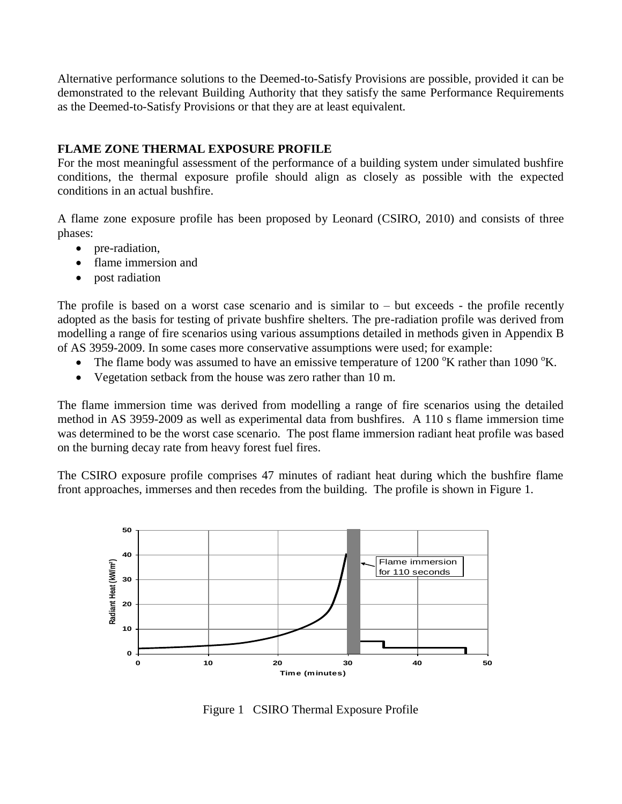Alternative performance solutions to the Deemed-to-Satisfy Provisions are possible, provided it can be demonstrated to the relevant Building Authority that they satisfy the same Performance Requirements as the Deemed-to-Satisfy Provisions or that they are at least equivalent.

## **FLAME ZONE THERMAL EXPOSURE PROFILE**

For the most meaningful assessment of the performance of a building system under simulated bushfire conditions, the thermal exposure profile should align as closely as possible with the expected conditions in an actual bushfire.

A flame zone exposure profile has been proposed by Leonard (CSIRO, 2010) and consists of three phases:

- pre-radiation,
- flame immersion and
- post radiation

The profile is based on a worst case scenario and is similar to – but exceeds - the profile recently adopted as the basis for testing of private bushfire shelters. The pre-radiation profile was derived from modelling a range of fire scenarios using various assumptions detailed in methods given in Appendix B of AS 3959-2009. In some cases more conservative assumptions were used; for example:

- The flame body was assumed to have an emissive temperature of 1200  $\mathrm{K}$  rather than 1090  $\mathrm{K}$ .
- Vegetation setback from the house was zero rather than 10 m.

The flame immersion time was derived from modelling a range of fire scenarios using the detailed method in AS 3959-2009 as well as experimental data from bushfires. A 110 s flame immersion time was determined to be the worst case scenario. The post flame immersion radiant heat profile was based on the burning decay rate from heavy forest fuel fires.

The CSIRO exposure profile comprises 47 minutes of radiant heat during which the bushfire flame front approaches, immerses and then recedes from the building. The profile is shown in Figure 1.



Figure 1 CSIRO Thermal Exposure Profile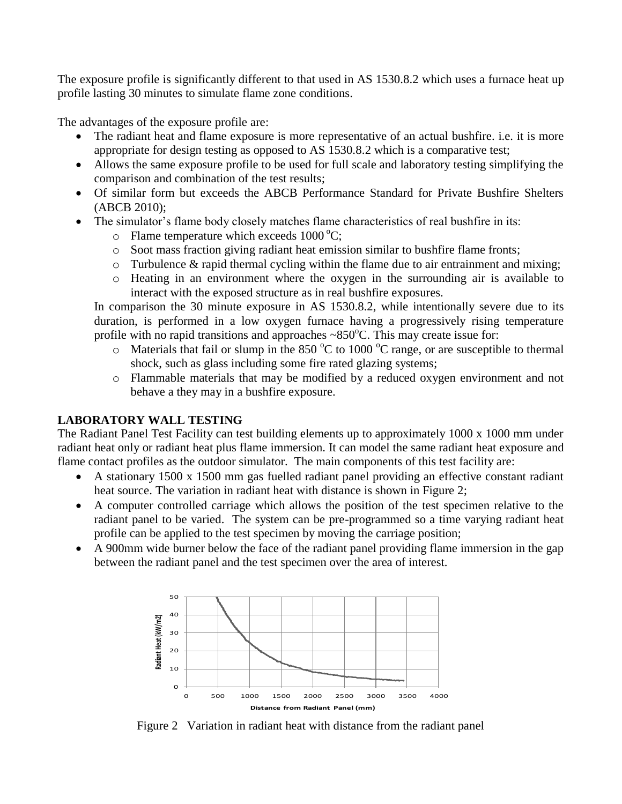The exposure profile is significantly different to that used in AS 1530.8.2 which uses a furnace heat up profile lasting 30 minutes to simulate flame zone conditions.

The advantages of the exposure profile are:

- The radiant heat and flame exposure is more representative of an actual bushfire. i.e. it is more appropriate for design testing as opposed to AS 1530.8.2 which is a comparative test;
- Allows the same exposure profile to be used for full scale and laboratory testing simplifying the comparison and combination of the test results;
- Of similar form but exceeds the ABCB Performance Standard for Private Bushfire Shelters (ABCB 2010);
- The simulator's flame body closely matches flame characteristics of real bushfire in its:
	- $\circ$  Flame temperature which exceeds 1000 °C;
	- o Soot mass fraction giving radiant heat emission similar to bushfire flame fronts;
	- o Turbulence & rapid thermal cycling within the flame due to air entrainment and mixing;
	- o Heating in an environment where the oxygen in the surrounding air is available to interact with the exposed structure as in real bushfire exposures.

In comparison the 30 minute exposure in AS 1530.8.2, while intentionally severe due to its duration, is performed in a low oxygen furnace having a progressively rising temperature profile with no rapid transitions and approaches  $\sim 850^{\circ}$ C. This may create issue for:

- $\circ$  Materials that fail or slump in the 850 °C to 1000 °C range, or are susceptible to thermal shock, such as glass including some fire rated glazing systems;
- o Flammable materials that may be modified by a reduced oxygen environment and not behave a they may in a bushfire exposure.

# **LABORATORY WALL TESTING**

The Radiant Panel Test Facility can test building elements up to approximately 1000 x 1000 mm under radiant heat only or radiant heat plus flame immersion. It can model the same radiant heat exposure and flame contact profiles as the outdoor simulator. The main components of this test facility are:

- A stationary 1500 x 1500 mm gas fuelled radiant panel providing an effective constant radiant heat source. The variation in radiant heat with distance is shown in Figure 2;
- A computer controlled carriage which allows the position of the test specimen relative to the radiant panel to be varied. The system can be pre-programmed so a time varying radiant heat profile can be applied to the test specimen by moving the carriage position;
- A 900mm wide burner below the face of the radiant panel providing flame immersion in the gap between the radiant panel and the test specimen over the area of interest.



Figure 2 Variation in radiant heat with distance from the radiant panel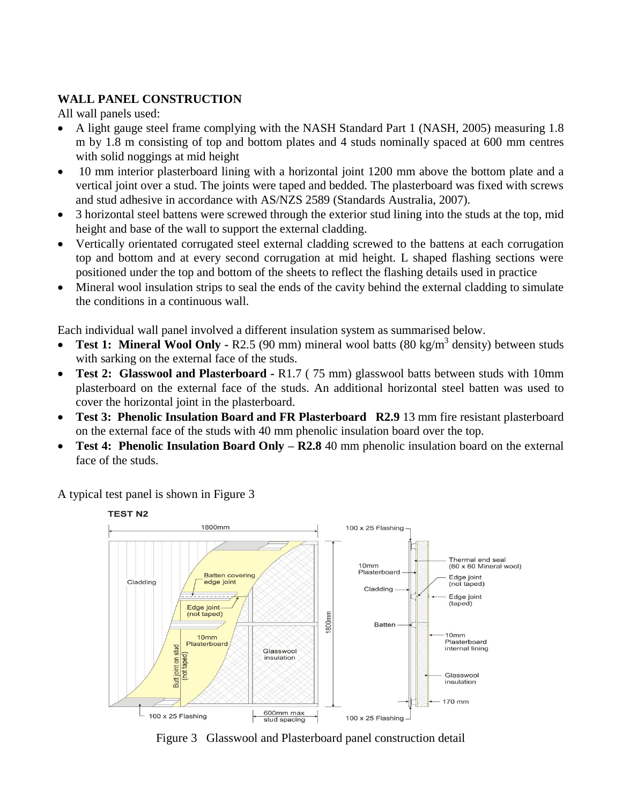# **WALL PANEL CONSTRUCTION**

All wall panels used:

- A light gauge steel frame complying with the NASH Standard Part 1 (NASH, 2005) measuring 1.8 m by 1.8 m consisting of top and bottom plates and 4 studs nominally spaced at 600 mm centres with solid noggings at mid height
- 10 mm interior plasterboard lining with a horizontal joint 1200 mm above the bottom plate and a vertical joint over a stud. The joints were taped and bedded. The plasterboard was fixed with screws and stud adhesive in accordance with AS/NZS 2589 (Standards Australia, 2007).
- 3 horizontal steel battens were screwed through the exterior stud lining into the studs at the top, mid height and base of the wall to support the external cladding.
- Vertically orientated corrugated steel external cladding screwed to the battens at each corrugation top and bottom and at every second corrugation at mid height. L shaped flashing sections were positioned under the top and bottom of the sheets to reflect the flashing details used in practice
- Mineral wool insulation strips to seal the ends of the cavity behind the external cladding to simulate the conditions in a continuous wall.

Each individual wall panel involved a different insulation system as summarised below.

- Test 1: Mineral Wool Only R2.5 (90 mm) mineral wool batts (80 kg/m<sup>3</sup> density) between studs with sarking on the external face of the studs.
- **Test 2: Glasswool and Plasterboard -** R1.7 ( 75 mm) glasswool batts between studs with 10mm plasterboard on the external face of the studs. An additional horizontal steel batten was used to cover the horizontal joint in the plasterboard.
- **Test 3: Phenolic Insulation Board and FR Plasterboard R2.9** 13 mm fire resistant plasterboard on the external face of the studs with 40 mm phenolic insulation board over the top.
- **Test 4: Phenolic Insulation Board Only – R2.8** 40 mm phenolic insulation board on the external face of the studs.

A typical test panel is shown in Figure 3



Figure 3 Glasswool and Plasterboard panel construction detail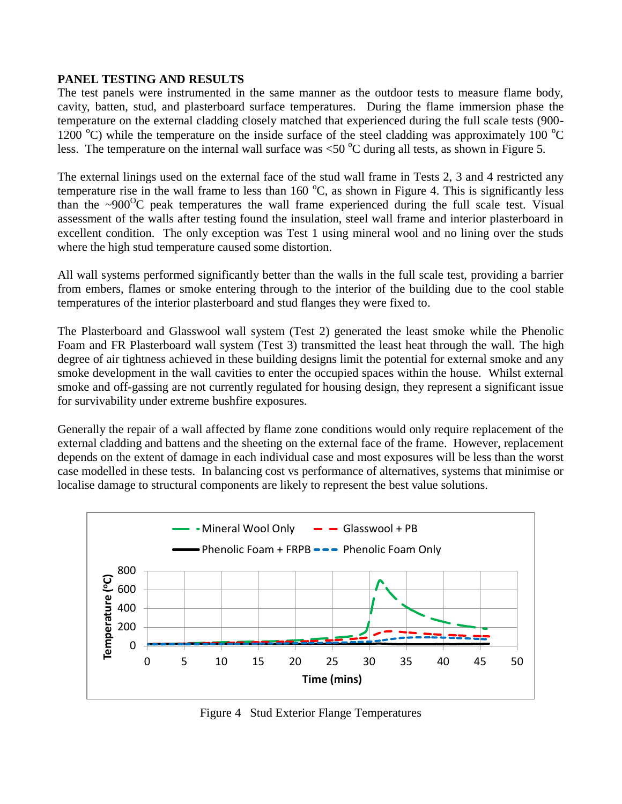## **PANEL TESTING AND RESULTS**

The test panels were instrumented in the same manner as the outdoor tests to measure flame body, cavity, batten, stud, and plasterboard surface temperatures. During the flame immersion phase the temperature on the external cladding closely matched that experienced during the full scale tests (900- 1200 °C) while the temperature on the inside surface of the steel cladding was approximately 100 °C less. The temperature on the internal wall surface was  $\langle 50 \degree C$  during all tests, as shown in Figure 5.

The external linings used on the external face of the stud wall frame in Tests 2, 3 and 4 restricted any temperature rise in the wall frame to less than 160  $^{\circ}$ C, as shown in Figure 4. This is significantly less than the  $\sim 900^{\circ}$ C peak temperatures the wall frame experienced during the full scale test. Visual assessment of the walls after testing found the insulation, steel wall frame and interior plasterboard in excellent condition. The only exception was Test 1 using mineral wool and no lining over the studs where the high stud temperature caused some distortion.

All wall systems performed significantly better than the walls in the full scale test, providing a barrier from embers, flames or smoke entering through to the interior of the building due to the cool stable temperatures of the interior plasterboard and stud flanges they were fixed to.

The Plasterboard and Glasswool wall system (Test 2) generated the least smoke while the Phenolic Foam and FR Plasterboard wall system (Test 3) transmitted the least heat through the wall. The high degree of air tightness achieved in these building designs limit the potential for external smoke and any smoke development in the wall cavities to enter the occupied spaces within the house. Whilst external smoke and off-gassing are not currently regulated for housing design, they represent a significant issue for survivability under extreme bushfire exposures.

Generally the repair of a wall affected by flame zone conditions would only require replacement of the external cladding and battens and the sheeting on the external face of the frame. However, replacement depends on the extent of damage in each individual case and most exposures will be less than the worst case modelled in these tests. In balancing cost vs performance of alternatives, systems that minimise or localise damage to structural components are likely to represent the best value solutions.



Figure 4 Stud Exterior Flange Temperatures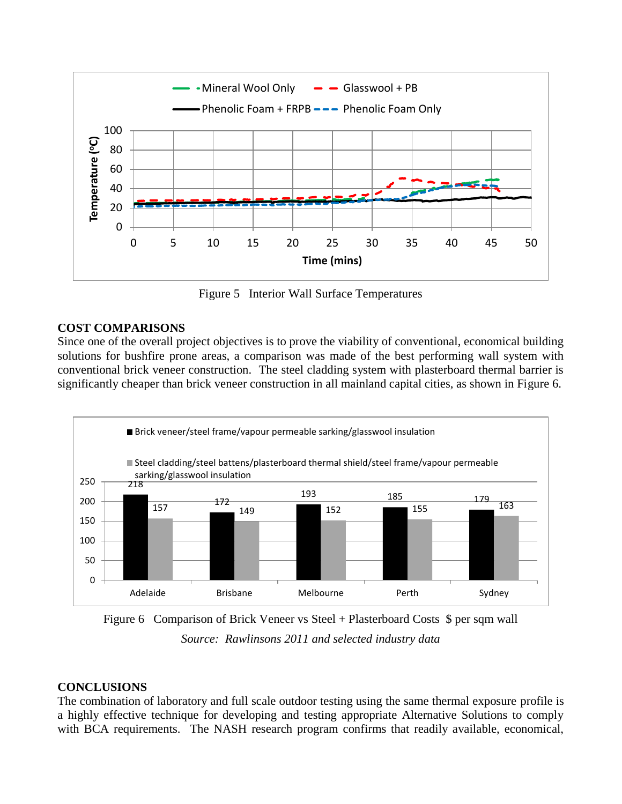

Figure 5 Interior Wall Surface Temperatures

## **COST COMPARISONS**

Since one of the overall project objectives is to prove the viability of conventional, economical building solutions for bushfire prone areas, a comparison was made of the best performing wall system with conventional brick veneer construction. The steel cladding system with plasterboard thermal barrier is significantly cheaper than brick veneer construction in all mainland capital cities, as shown in Figure 6.



Figure 6 Comparison of Brick Veneer vs Steel + Plasterboard Costs \$ per sqm wall *Source: Rawlinsons 2011 and selected industry data*

# **CONCLUSIONS**

The combination of laboratory and full scale outdoor testing using the same thermal exposure profile is a highly effective technique for developing and testing appropriate Alternative Solutions to comply with BCA requirements. The NASH research program confirms that readily available, economical,